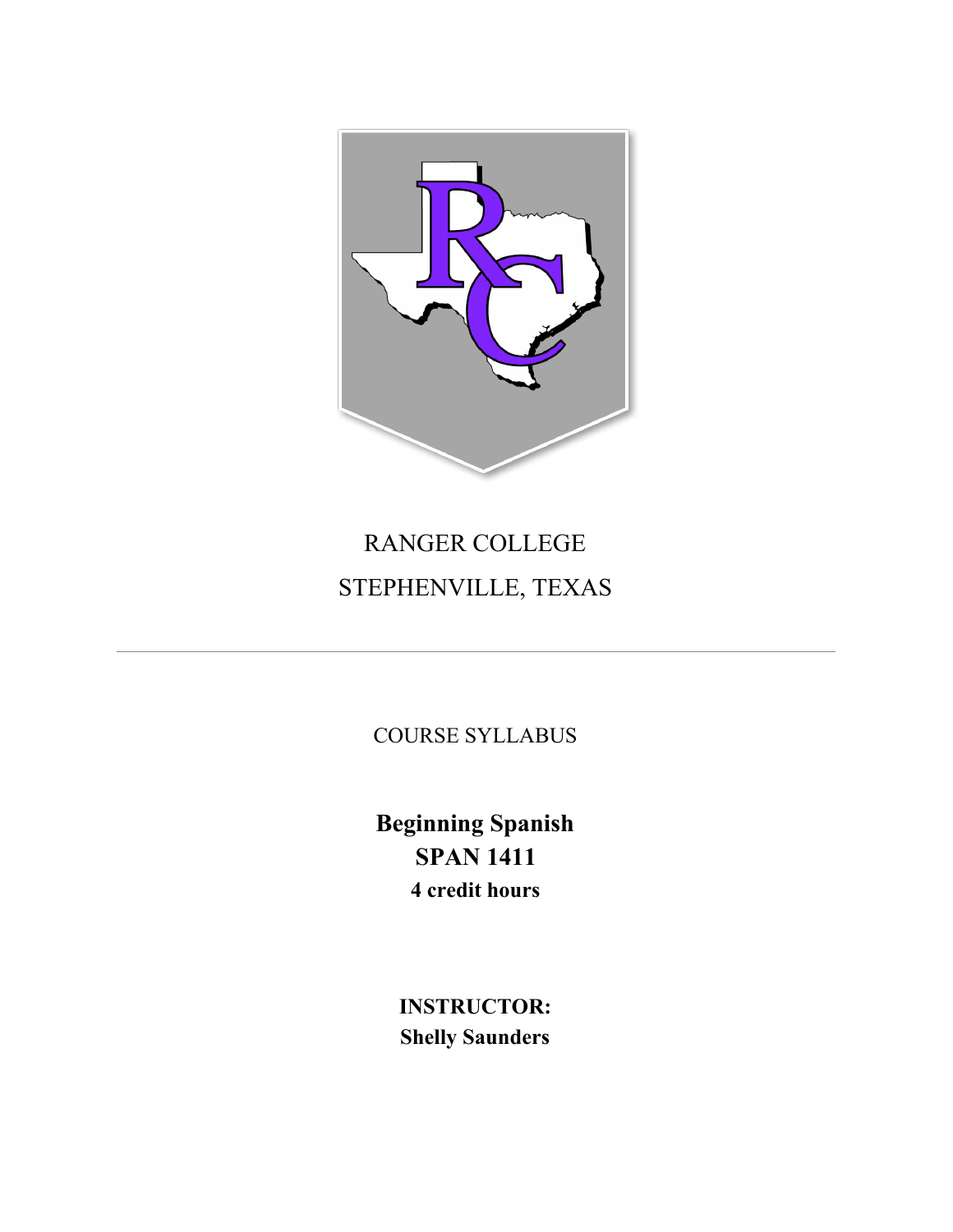

# RANGER COLLEGE STEPHENVILLE, TEXAS

COURSE SYLLABUS

**Beginning Spanish SPAN 1411 4 credit hours**

> **INSTRUCTOR: Shelly Saunders**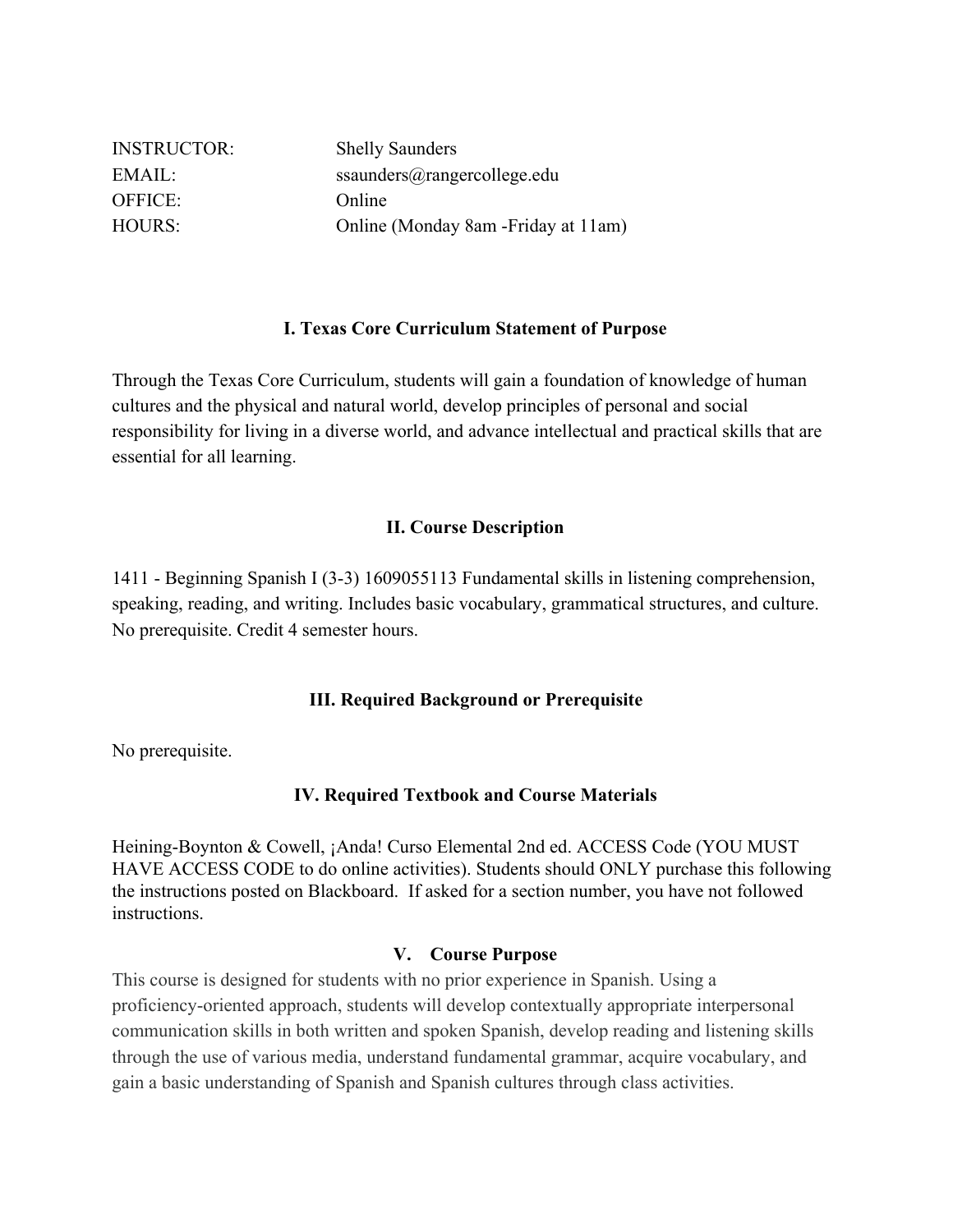| <b>INSTRUCTOR:</b> | <b>Shelly Saunders</b>               |
|--------------------|--------------------------------------|
| EMAIL:             | ssaunders@rangercollege.edu          |
| OFFICE:            | Online                               |
| <b>HOURS:</b>      | Online (Monday 8am - Friday at 11am) |

## **I. Texas Core Curriculum Statement of Purpose**

Through the Texas Core Curriculum, students will gain a foundation of knowledge of human cultures and the physical and natural world, develop principles of personal and social responsibility for living in a diverse world, and advance intellectual and practical skills that are essential for all learning.

#### **II. Course Description**

1411 - Beginning Spanish I (3-3) 1609055113 Fundamental skills in listening comprehension, speaking, reading, and writing. Includes basic vocabulary, grammatical structures, and culture. No prerequisite. Credit 4 semester hours.

#### **III. Required Background or Prerequisite**

No prerequisite.

## **IV. Required Textbook and Course Materials**

Heining-Boynton & Cowell, ¡Anda! Curso Elemental 2nd ed. ACCESS Code (YOU MUST HAVE ACCESS CODE to do online activities). Students should ONLY purchase this following the instructions posted on Blackboard. If asked for a section number, you have not followed instructions.

#### **V. Course Purpose**

This course is designed for students with no prior experience in Spanish. Using a proficiency-oriented approach, students will develop contextually appropriate interpersonal communication skills in both written and spoken Spanish, develop reading and listening skills through the use of various media, understand fundamental grammar, acquire vocabulary, and gain a basic understanding of Spanish and Spanish cultures through class activities.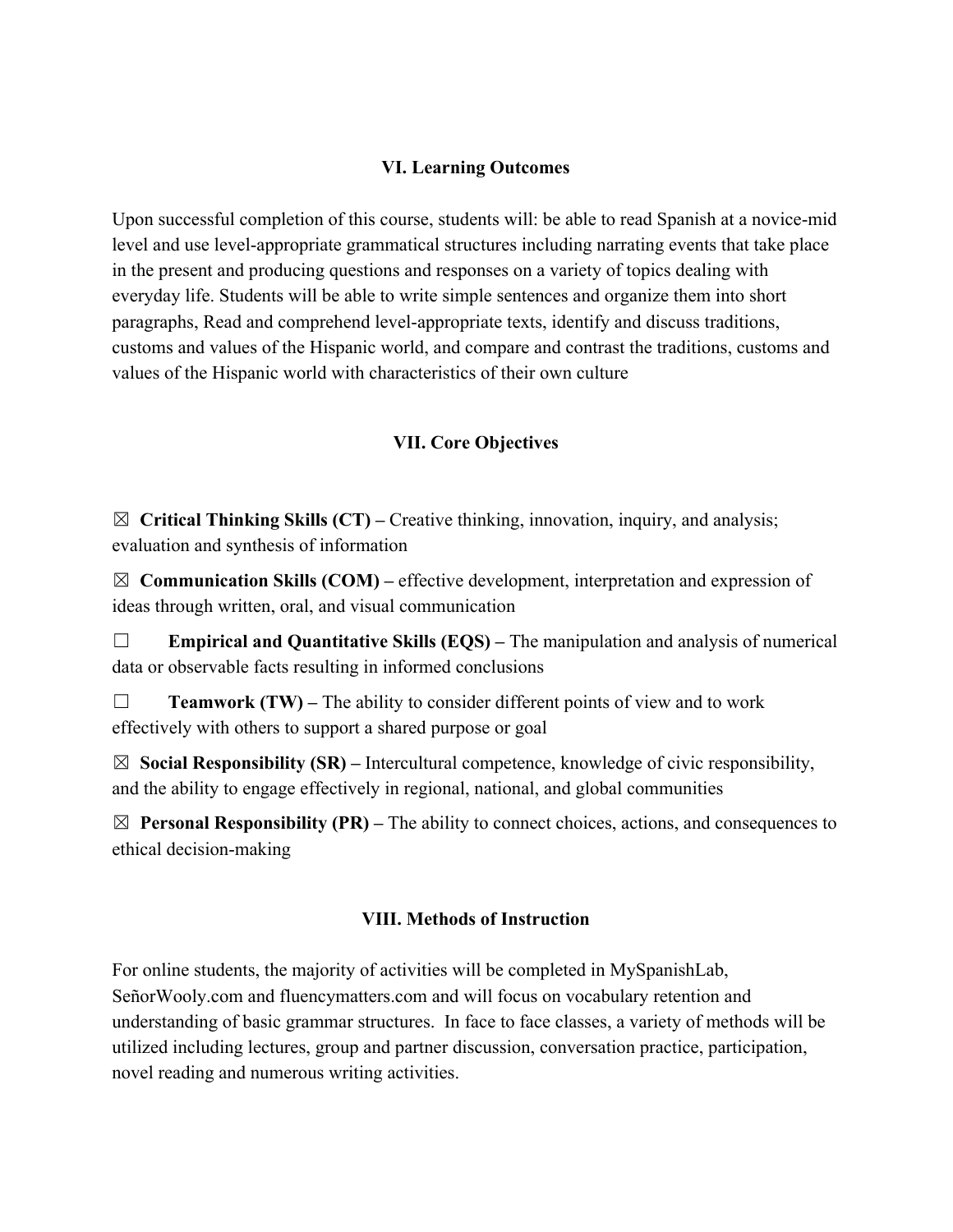## **VI. Learning Outcomes**

Upon successful completion of this course, students will: be able to read Spanish at a novice-mid level and use level-appropriate grammatical structures including narrating events that take place in the present and producing questions and responses on a variety of topics dealing with everyday life. Students will be able to write simple sentences and organize them into short paragraphs, Read and comprehend level-appropriate texts, identify and discuss traditions, customs and values of the Hispanic world, and compare and contrast the traditions, customs and values of the Hispanic world with characteristics of their own culture

## **VII. Core Objectives**

☒ **Critical Thinking Skills (CT) –** Creative thinking, innovation, inquiry, and analysis; evaluation and synthesis of information

 $\boxtimes$  **Communication Skills (COM)** – effective development, interpretation and expression of ideas through written, oral, and visual communication

☐ **Empirical and Quantitative Skills (EQS) –** The manipulation and analysis of numerical data or observable facts resulting in informed conclusions

☐ **Teamwork (TW) –** The ability to consider different points of view and to work effectively with others to support a shared purpose or goal

☒ **Social Responsibility (SR) –** Intercultural competence, knowledge of civic responsibility, and the ability to engage effectively in regional, national, and global communities

 $\boxtimes$  **Personal Responsibility (PR)** – The ability to connect choices, actions, and consequences to ethical decision-making

## **VIII. Methods of Instruction**

For online students, the majority of activities will be completed in MySpanishLab, SeñorWooly.com and fluencymatters.com and will focus on vocabulary retention and understanding of basic grammar structures. In face to face classes, a variety of methods will be utilized including lectures, group and partner discussion, conversation practice, participation, novel reading and numerous writing activities.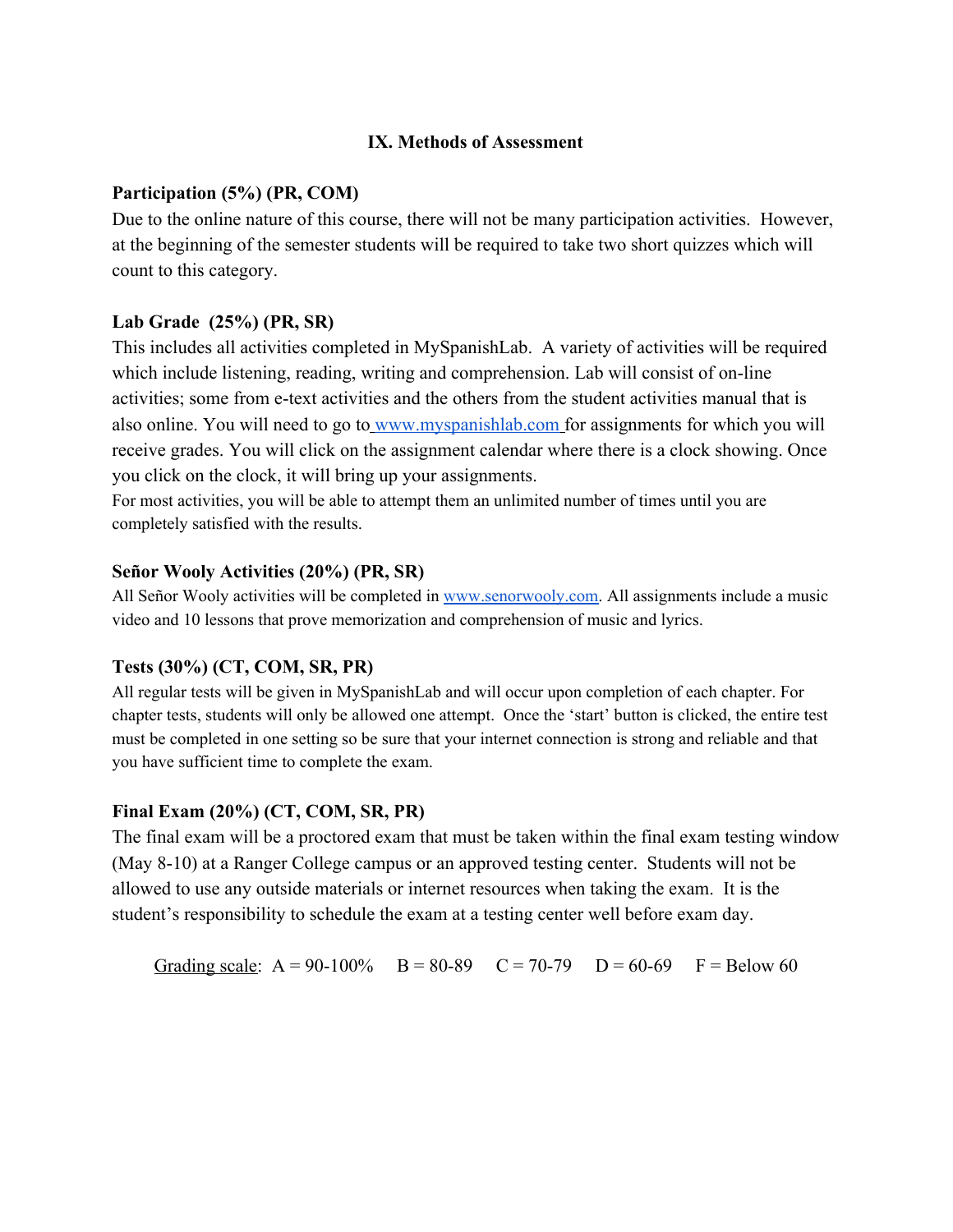## **IX. Methods of Assessment**

#### **Participation (5%) (PR, COM)**

Due to the online nature of this course, there will not be many participation activities. However, at the beginning of the semester students will be required to take two short quizzes which will count to this category.

#### **Lab Grade (25%) (PR, SR)**

This includes all activities completed in MySpanishLab. A variety of activities will be required which include listening, reading, writing and comprehension. Lab will consist of on-line activities; some from e-text activities and the others from the student activities manual that is also online. You will need to go to [www.myspanishlab.com](http://www.myspanishlab.com/) for assignments for which you will receive grades. You will click on the assignment calendar where there is a clock showing. Once you click on the clock, it will bring up your assignments.

For most activities, you will be able to attempt them an unlimited number of times until you are completely satisfied with the results.

#### **Señor Wooly Activities (20%) (PR, SR)**

All Señor Wooly activities will be completed i[n](http://www.senorwooly.com/) [www.senorwooly.com.](http://www.senorwooly.com/) All assignments include a music video and 10 lessons that prove memorization and comprehension of music and lyrics.

## **Tests (30%) (CT, COM, SR, PR)**

All regular tests will be given in MySpanishLab and will occur upon completion of each chapter. For chapter tests, students will only be allowed one attempt. Once the 'start' button is clicked, the entire test must be completed in one setting so be sure that your internet connection is strong and reliable and that you have sufficient time to complete the exam.

#### **Final Exam (20%) (CT, COM, SR, PR)**

The final exam will be a proctored exam that must be taken within the final exam testing window (May 8-10) at a Ranger College campus or an approved testing center. Students will not be allowed to use any outside materials or internet resources when taking the exam. It is the student's responsibility to schedule the exam at a testing center well before exam day.

Grading scale:  $A = 90-100\%$  B = 80-89 C = 70-79 D = 60-69 F = Below 60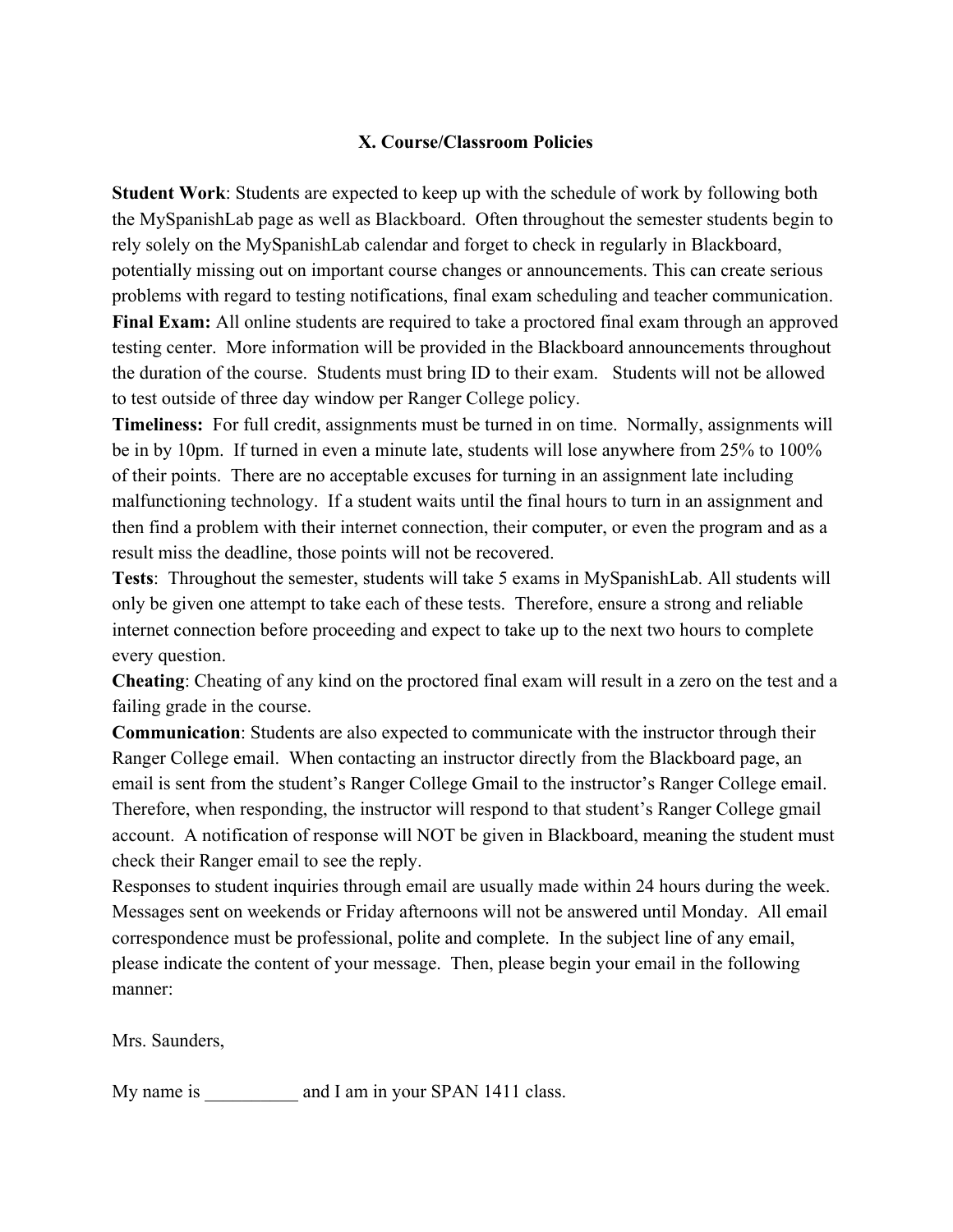# **X. Course/Classroom Policies**

**Student Work**: Students are expected to keep up with the schedule of work by following both the MySpanishLab page as well as Blackboard. Often throughout the semester students begin to rely solely on the MySpanishLab calendar and forget to check in regularly in Blackboard, potentially missing out on important course changes or announcements. This can create serious problems with regard to testing notifications, final exam scheduling and teacher communication. **Final Exam:** All online students are required to take a proctored final exam through an approved testing center. More information will be provided in the Blackboard announcements throughout the duration of the course. Students must bring ID to their exam. Students will not be allowed

to test outside of three day window per Ranger College policy.

**Timeliness:** For full credit, assignments must be turned in on time. Normally, assignments will be in by 10pm. If turned in even a minute late, students will lose anywhere from 25% to 100% of their points. There are no acceptable excuses for turning in an assignment late including malfunctioning technology. If a student waits until the final hours to turn in an assignment and then find a problem with their internet connection, their computer, or even the program and as a result miss the deadline, those points will not be recovered.

**Tests**: Throughout the semester, students will take 5 exams in MySpanishLab. All students will only be given one attempt to take each of these tests. Therefore, ensure a strong and reliable internet connection before proceeding and expect to take up to the next two hours to complete every question.

**Cheating**: Cheating of any kind on the proctored final exam will result in a zero on the test and a failing grade in the course.

**Communication**: Students are also expected to communicate with the instructor through their Ranger College email. When contacting an instructor directly from the Blackboard page, an email is sent from the student's Ranger College Gmail to the instructor's Ranger College email. Therefore, when responding, the instructor will respond to that student's Ranger College gmail account. A notification of response will NOT be given in Blackboard, meaning the student must check their Ranger email to see the reply.

Responses to student inquiries through email are usually made within 24 hours during the week. Messages sent on weekends or Friday afternoons will not be answered until Monday. All email correspondence must be professional, polite and complete. In the subject line of any email, please indicate the content of your message. Then, please begin your email in the following manner:

Mrs. Saunders,

My name is and I am in your SPAN 1411 class.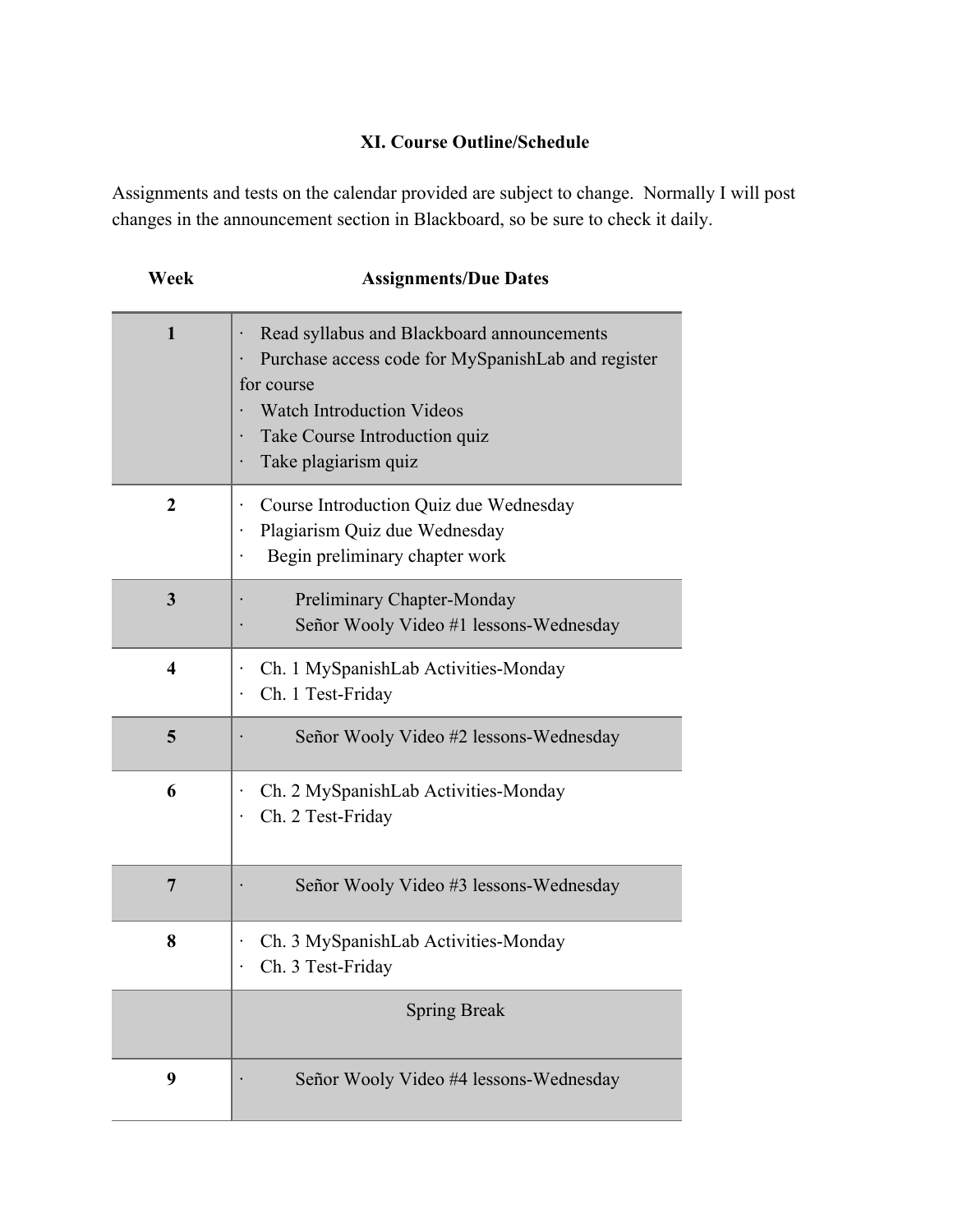# **XI. Course Outline/Schedule**

Assignments and tests on the calendar provided are subject to change. Normally I will post changes in the announcement section in Blackboard, so be sure to check it daily.

| Week                    | <b>Assignments/Due Dates</b>                                                                                                                                                                                |
|-------------------------|-------------------------------------------------------------------------------------------------------------------------------------------------------------------------------------------------------------|
| 1                       | Read syllabus and Blackboard announcements<br>Purchase access code for MySpanishLab and register<br>for course<br><b>Watch Introduction Videos</b><br>Take Course Introduction quiz<br>Take plagiarism quiz |
| $\mathbf 2$             | Course Introduction Quiz due Wednesday<br>Plagiarism Quiz due Wednesday<br>Begin preliminary chapter work                                                                                                   |
| 3                       | Preliminary Chapter-Monday<br>Señor Wooly Video #1 lessons-Wednesday                                                                                                                                        |
| $\overline{\mathbf{4}}$ | Ch. 1 MySpanishLab Activities-Monday<br>Ch. 1 Test-Friday                                                                                                                                                   |
| 5                       | Señor Wooly Video #2 lessons-Wednesday                                                                                                                                                                      |
| 6                       | Ch. 2 MySpanishLab Activities-Monday<br>Ch. 2 Test-Friday                                                                                                                                                   |
| $\overline{7}$          | Señor Wooly Video #3 lessons-Wednesday                                                                                                                                                                      |
| 8                       | Ch. 3 MySpanishLab Activities-Monday<br>Ch. 3 Test-Friday                                                                                                                                                   |
|                         | <b>Spring Break</b>                                                                                                                                                                                         |
| 9                       | Señor Wooly Video #4 lessons-Wednesday                                                                                                                                                                      |